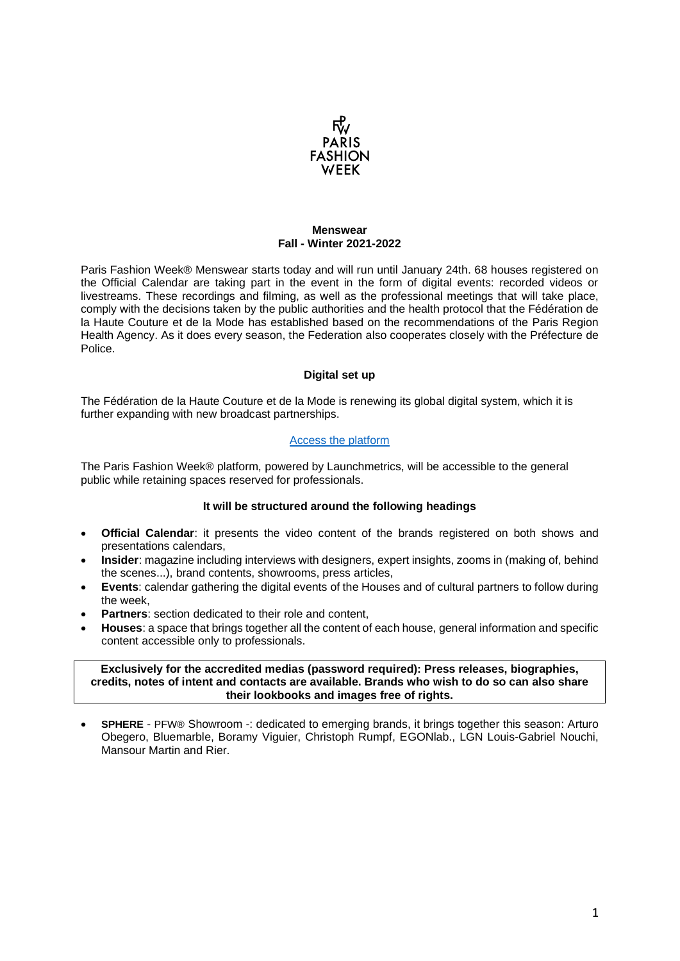

### **Menswear Fall - Winter 2021-2022**

Paris Fashion Week® Menswear starts today and will run until January 24th. 68 houses registered on the Official Calendar are taking part in the event in the form of digital events: recorded videos or livestreams. These recordings and filming, as well as the professional meetings that will take place, comply with the decisions taken by the public authorities and the health protocol that the Fédération de la Haute Couture et de la Mode has established based on the recommendations of the Paris Region Health Agency. As it does every season, the Federation also cooperates closely with the Préfecture de Police.

# **Digital set up**

The Fédération de la Haute Couture et de la Mode is renewing its global digital system, which it is further expanding with new broadcast partnerships.

# [Access the platform](https://parisfashionweek.fhcm.paris/en/)

The Paris Fashion Week® platform, powered by Launchmetrics, will be accessible to the general public while retaining spaces reserved for professionals.

### **It will be structured around the following headings**

- **Official Calendar**: it presents the video content of the brands registered on both shows and presentations calendars,
- **Insider**: magazine including interviews with designers, expert insights, zooms in (making of, behind the scenes...), brand contents, showrooms, press articles,
- **Events:** calendar gathering the digital events of the Houses and of cultural partners to follow during the week,
- **Partners:** section dedicated to their role and content,
- **Houses**: a space that brings together all the content of each house, general information and specific content accessible only to professionals.

### **Exclusively for the accredited medias (password required): Press releases, biographies, credits, notes of intent and contacts are available. Brands who wish to do so can also share their lookbooks and images free of rights.**

• **SPHERE** - PFW® Showroom -: dedicated to emerging brands, it brings together this season: Arturo Obegero, Bluemarble, Boramy Viguier, Christoph Rumpf, EGONlab., LGN Louis-Gabriel Nouchi, Mansour Martin and Rier.